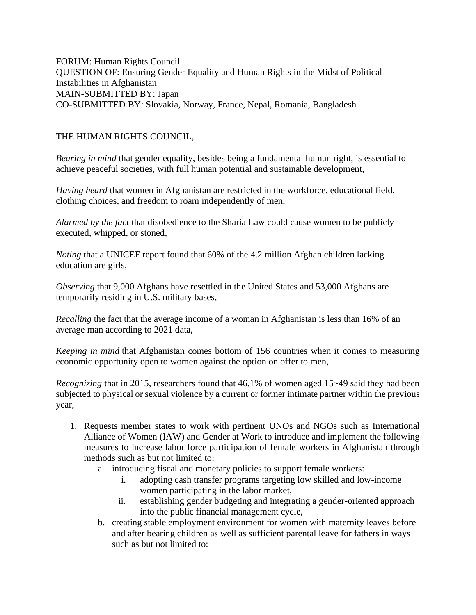FORUM: Human Rights Council QUESTION OF: Ensuring Gender Equality and Human Rights in the Midst of Political Instabilities in Afghanistan MAIN-SUBMITTED BY: Japan CO-SUBMITTED BY: Slovakia, Norway, France, Nepal, Romania, Bangladesh

## THE HUMAN RIGHTS COUNCIL,

*Bearing in mind* that gender equality, besides being a fundamental human right, is essential to achieve peaceful societies, with full human potential and sustainable development,

*Having heard* that women in Afghanistan are restricted in the workforce, educational field, clothing choices, and freedom to roam independently of men,

*Alarmed by the fact* that disobedience to the Sharia Law could cause women to be publicly executed, whipped, or stoned,

*Noting* that a UNICEF report found that 60% of the 4.2 million Afghan children lacking education are girls,

*Observing* that 9,000 Afghans have resettled in the United States and 53,000 Afghans are temporarily residing in U.S. military bases,

*Recalling* the fact that the average income of a woman in Afghanistan is less than 16% of an average man according to 2021 data,

*Keeping in mind* that Afghanistan comes bottom of 156 countries when it comes to measuring economic opportunity open to women against the option on offer to men,

*Recognizing* that in 2015, researchers found that 46.1% of women aged 15~49 said they had been subjected to physical or sexual violence by a current or former intimate partner within the previous year,

- 1. Requests member states to work with pertinent UNOs and NGOs such as International Alliance of Women (IAW) and Gender at Work to introduce and implement the following measures to increase labor force participation of female workers in Afghanistan through methods such as but not limited to:
	- a. introducing fiscal and monetary policies to support female workers:
		- i. adopting cash transfer programs targeting low skilled and low-income women participating in the labor market,
		- ii. establishing gender budgeting and integrating a gender-oriented approach into the public financial management cycle,
	- b. creating stable employment environment for women with maternity leaves before and after bearing children as well as sufficient parental leave for fathers in ways such as but not limited to: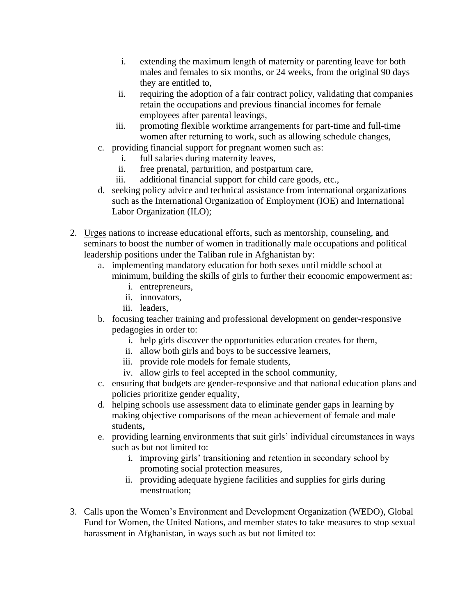- i. extending the maximum length of maternity or parenting leave for both males and females to six months, or 24 weeks, from the original 90 days they are entitled to,
- ii. requiring the adoption of a fair contract policy, validating that companies retain the occupations and previous financial incomes for female employees after parental leavings,
- iii. promoting flexible worktime arrangements for part-time and full-time women after returning to work, such as allowing schedule changes,
- c. providing financial support for pregnant women such as:
	- i. full salaries during maternity leaves,
	- ii. free prenatal, parturition, and postpartum care,
	- iii. additional financial support for child care goods, etc.,
- d. seeking policy advice and technical assistance from international organizations such as the International Organization of Employment (IOE) and International Labor Organization (ILO);
- 2. Urges nations to increase educational efforts, such as mentorship, counseling, and seminars to boost the number of women in traditionally male occupations and political leadership positions under the Taliban rule in Afghanistan by:
	- a. implementing mandatory education for both sexes until middle school at minimum, building the skills of girls to further their economic empowerment as:
		- i. entrepreneurs,
		- ii. innovators,
		- iii. leaders,
	- b. focusing teacher training and professional development on gender-responsive pedagogies in order to:
		- i. help girls discover the opportunities education creates for them,
		- ii. allow both girls and boys to be successive learners,
		- iii. provide role models for female students,
		- iv. allow girls to feel accepted in the school community,
	- c. ensuring that budgets are gender-responsive and that national education plans and policies prioritize gender equality,
	- d. helping schools use assessment data to eliminate gender gaps in learning by making objective comparisons of the mean achievement of female and male students**,**
	- e. providing learning environments that suit girls' individual circumstances in ways such as but not limited to:
		- i. improving girls' transitioning and retention in secondary school by promoting social protection measures,
		- ii. providing adequate hygiene facilities and supplies for girls during menstruation;
- 3. Calls upon the Women's Environment and Development Organization (WEDO), Global Fund for Women, the United Nations, and member states to take measures to stop sexual harassment in Afghanistan, in ways such as but not limited to: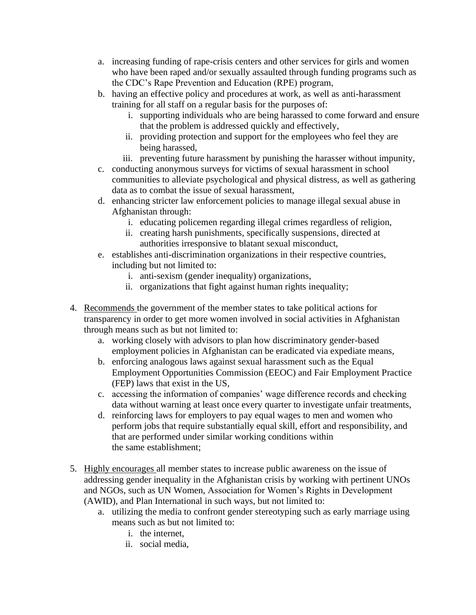- a. increasing funding of rape-crisis centers and other services for girls and women who have been raped and/or sexually assaulted through funding programs such as the CDC's Rape Prevention and Education (RPE) program,
- b. having an effective policy and procedures at work, as well as anti-harassment training for all staff on a regular basis for the purposes of:
	- i. supporting individuals who are being harassed to come forward and ensure that the problem is addressed quickly and effectively,
	- ii. providing protection and support for the employees who feel they are being harassed,
	- iii. preventing future harassment by punishing the harasser without impunity,
- c. conducting anonymous surveys for victims of sexual harassment in school communities to alleviate psychological and physical distress, as well as gathering data as to combat the issue of sexual harassment,
- d. enhancing stricter law enforcement policies to manage illegal sexual abuse in Afghanistan through:
	- i. educating policemen regarding illegal crimes regardless of religion,
	- ii. creating harsh punishments, specifically suspensions, directed at authorities irresponsive to blatant sexual misconduct,
- e. establishes anti-discrimination organizations in their respective countries, including but not limited to:
	- i. anti-sexism (gender inequality) organizations,
	- ii. organizations that fight against human rights inequality;
- 4. Recommends the government of the member states to take political actions for transparency in order to get more women involved in social activities in Afghanistan through means such as but not limited to:
	- a. working closely with advisors to plan how discriminatory gender-based employment policies in Afghanistan can be eradicated via expediate means,
	- b. enforcing analogous laws against sexual harassment such as the Equal Employment Opportunities Commission (EEOC) and Fair Employment Practice (FEP) laws that exist in the US,
	- c. accessing the information of companies' wage difference records and checking data without warning at least once every quarter to investigate unfair treatments,
	- d. reinforcing laws for employers to pay equal wages to men and women who perform jobs that require substantially equal skill, effort and responsibility, and that are performed under similar working conditions within the same establishment;
- 5. Highly encourages all member states to increase public awareness on the issue of addressing gender inequality in the Afghanistan crisis by working with pertinent UNOs and NGOs, such as UN Women, Association for Women's Rights in Development (AWID), and Plan International in such ways, but not limited to:
	- a. utilizing the media to confront gender stereotyping such as early marriage using means such as but not limited to:
		- i. the internet,
		- ii. social media,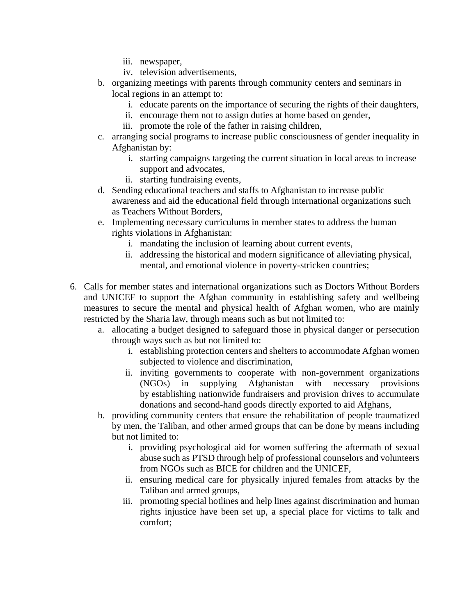- iii. newspaper,
- iv. television advertisements,
- b. organizing meetings with parents through community centers and seminars in local regions in an attempt to:
	- i. educate parents on the importance of securing the rights of their daughters,
	- ii. encourage them not to assign duties at home based on gender,
	- iii. promote the role of the father in raising children,
- c. arranging social programs to increase public consciousness of gender inequality in Afghanistan by:
	- i. starting campaigns targeting the current situation in local areas to increase support and advocates,
	- ii. starting fundraising events,
- d. Sending educational teachers and staffs to Afghanistan to increase public awareness and aid the educational field through international organizations such as Teachers Without Borders,
- e. Implementing necessary curriculums in member states to address the human rights violations in Afghanistan:
	- i. mandating the inclusion of learning about current events,
	- ii. addressing the historical and modern significance of alleviating physical, mental, and emotional violence in poverty-stricken countries;
- 6. Calls for member states and international organizations such as Doctors Without Borders and UNICEF to support the Afghan community in establishing safety and wellbeing measures to secure the mental and physical health of Afghan women, who are mainly restricted by the Sharia law, through means such as but not limited to:
	- a. allocating a budget designed to safeguard those in physical danger or persecution through ways such as but not limited to:
		- i. establishing protection centers and shelters to accommodate Afghan women subjected to violence and discrimination,
		- ii. inviting governments to cooperate with non-government organizations (NGOs) in supplying Afghanistan with necessary provisions by establishing nationwide fundraisers and provision drives to accumulate donations and second-hand goods directly exported to aid Afghans,
	- b. providing community centers that ensure the rehabilitation of people traumatized by men, the Taliban, and other armed groups that can be done by means including but not limited to:
		- i. providing psychological aid for women suffering the aftermath of sexual abuse such as PTSD through help of professional counselors and volunteers from NGOs such as BICE for children and the UNICEF,
		- ii. ensuring medical care for physically injured females from attacks by the Taliban and armed groups,
		- iii. promoting special hotlines and help lines against discrimination and human rights injustice have been set up, a special place for victims to talk and comfort;